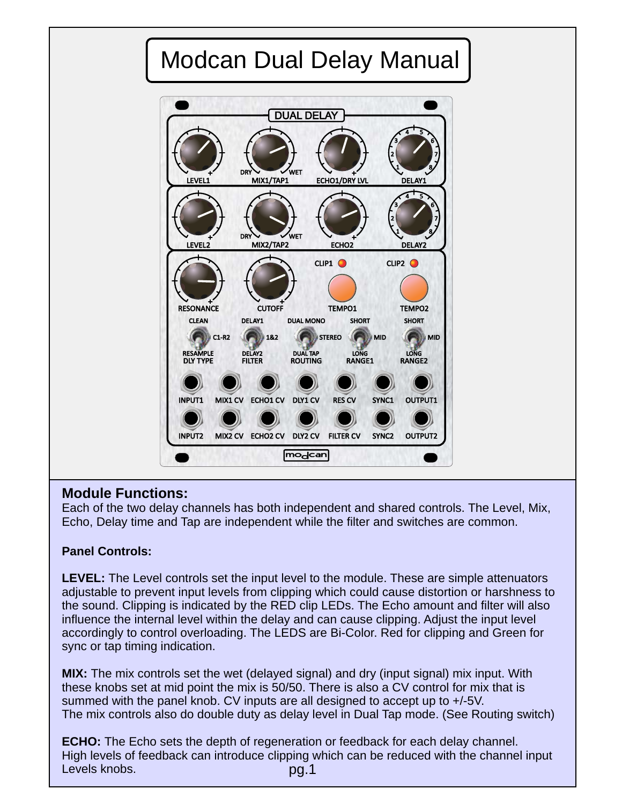

## **Module Functions:**

Each of the two delay channels has both independent and shared controls. The Level, Mix, Echo, Delay time and Tap are independent while the filter and switches are common.

## **Panel Controls:**

**LEVEL:** The Level controls set the input level to the module. These are simple attenuators adjustable to prevent input levels from clipping which could cause distortion or harshness to the sound. Clipping is indicated by the RED clip LEDs. The Echo amount and filter will also influence the internal level within the delay and can cause clipping. Adjust the input level accordingly to control overloading. The LEDS are Bi-Color. Red for clipping and Green for sync or tap timing indication.

**MIX:** The mix controls set the wet (delayed signal) and dry (input signal) mix input. With these knobs set at mid point the mix is 50/50. There is also a CV control for mix that is summed with the panel knob. CV inputs are all designed to accept up to +/-5V. The mix controls also do double duty as delay level in Dual Tap mode. (See Routing switch)

**ECHO:** The Echo sets the depth of regeneration or feedback for each delay channel. High levels of feedback can introduce clipping which can be reduced with the channel input Levels knobs. pg.1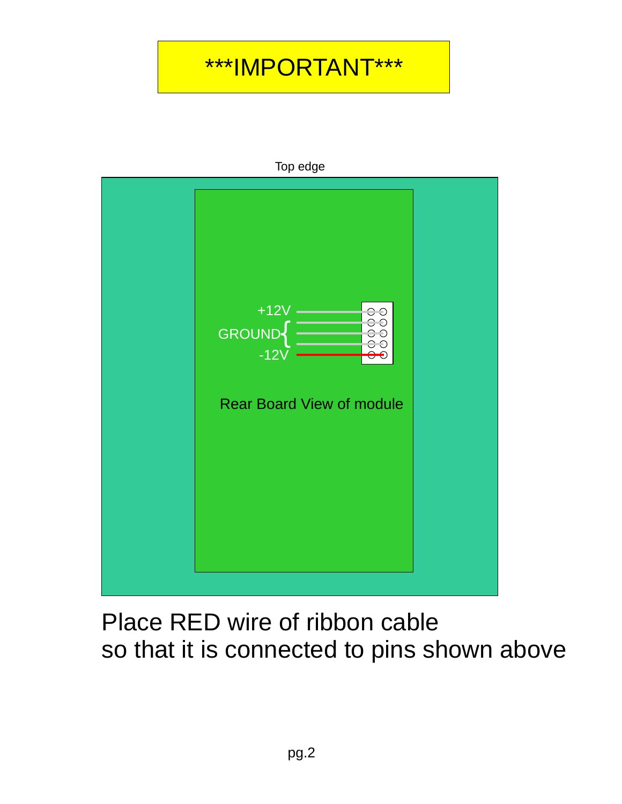# \*\*\*IMPORTANT\*\*\*



Top edge

Place RED wire of ribbon cable so that it is connected to pins shown above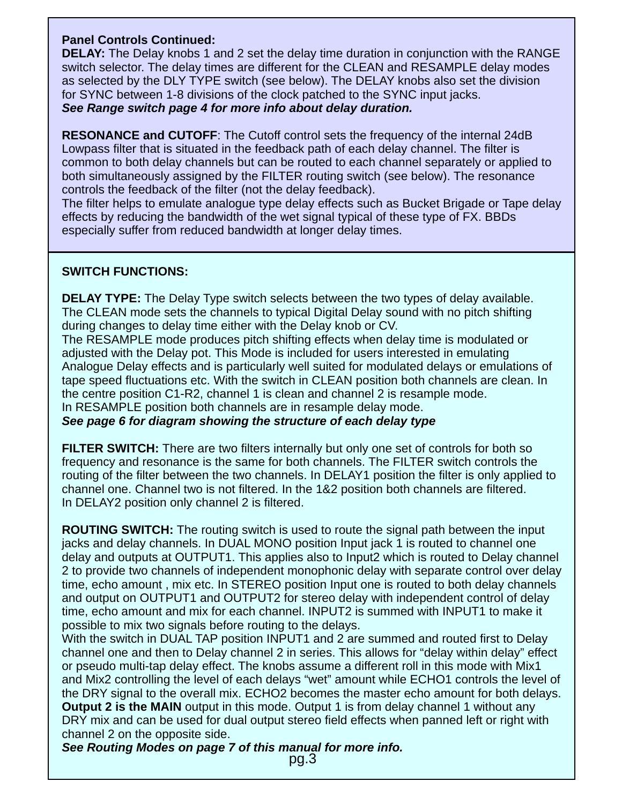#### **Panel Controls Continued:**

**DELAY:** The Delay knobs 1 and 2 set the delay time duration in conjunction with the RANGE switch selector. The delay times are different for the CLEAN and RESAMPLE delay modes as selected by the DLY TYPE switch (see below). The DELAY knobs also set the division for SYNC between 1-8 divisions of the clock patched to the SYNC input jacks. *See Range switch page 4 for more info about delay duration.*

**RESONANCE and CUTOFF**: The Cutoff control sets the frequency of the internal 24dB Lowpass filter that is situated in the feedback path of each delay channel. The filter is common to both delay channels but can be routed to each channel separately or applied to both simultaneously assigned by the FILTER routing switch (see below). The resonance controls the feedback of the filter (not the delay feedback).

The filter helps to emulate analogue type delay effects such as Bucket Brigade or Tape delay effects by reducing the bandwidth of the wet signal typical of these type of FX. BBDs especially suffer from reduced bandwidth at longer delay times.

#### **SWITCH FUNCTIONS:**

**DELAY TYPE:** The Delay Type switch selects between the two types of delay available. The CLEAN mode sets the channels to typical Digital Delay sound with no pitch shifting during changes to delay time either with the Delay knob or CV.

The RESAMPLE mode produces pitch shifting effects when delay time is modulated or adjusted with the Delay pot. This Mode is included for users interested in emulating Analogue Delay effects and is particularly well suited for modulated delays or emulations of tape speed fluctuations etc. With the switch in CLEAN position both channels are clean. In the centre position C1-R2, channel 1 is clean and channel 2 is resample mode. In RESAMPLE position both channels are in resample delay mode.

*See page 6 for diagram showing the structure of each delay type*

**FILTER SWITCH:** There are two filters internally but only one set of controls for both so frequency and resonance is the same for both channels. The FILTER switch controls the routing of the filter between the two channels. In DELAY1 position the filter is only applied to channel one. Channel two is not filtered. In the 1&2 position both channels are filtered. In DELAY2 position only channel 2 is filtered.

**ROUTING SWITCH:** The routing switch is used to route the signal path between the input jacks and delay channels. In DUAL MONO position Input jack 1 is routed to channel one delay and outputs at OUTPUT1. This applies also to Input2 which is routed to Delay channel 2 to provide two channels of independent monophonic delay with separate control over delay time, echo amount , mix etc. In STEREO position Input one is routed to both delay channels and output on OUTPUT1 and OUTPUT2 for stereo delay with independent control of delay time, echo amount and mix for each channel. INPUT2 is summed with INPUT1 to make it possible to mix two signals before routing to the delays.

With the switch in DUAL TAP position INPUT1 and 2 are summed and routed first to Delay channel one and then to Delay channel 2 in series. This allows for "delay within delay" effect or pseudo multi-tap delay effect. The knobs assume a different roll in this mode with Mix1 and Mix2 controlling the level of each delays "wet" amount while ECHO1 controls the level of the DRY signal to the overall mix. ECHO2 becomes the master echo amount for both delays. **Output 2 is the MAIN** output in this mode. Output 1 is from delay channel 1 without any DRY mix and can be used for dual output stereo field effects when panned left or right with channel 2 on the opposite side.

*See Routing Modes on page 7 of this manual for more info.*

pg.3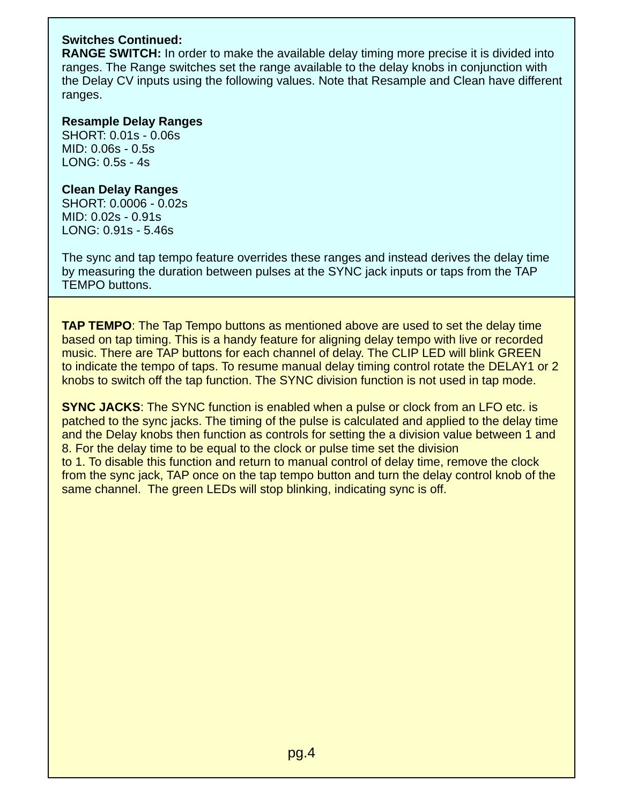#### **Switches Continued:**

**RANGE SWITCH:** In order to make the available delay timing more precise it is divided into ranges. The Range switches set the range available to the delay knobs in conjunction with the Delay CV inputs using the following values. Note that Resample and Clean have different ranges.

#### **Resample Delay Ranges**

SHORT: 0.01s - 0.06s MID: 0.06s - 0.5s LONG: 0.5s - 4s

#### **Clean Delay Ranges**

SHORT: 0.0006 - 0.02s MID: 0.02s - 0.91s LONG: 0.91s - 5.46s

The sync and tap tempo feature overrides these ranges and instead derives the delay time by measuring the duration between pulses at the SYNC jack inputs or taps from the TAP TEMPO buttons.

**TAP TEMPO**: The Tap Tempo buttons as mentioned above are used to set the delay time based on tap timing. This is a handy feature for aligning delay tempo with live or recorded music. There are TAP buttons for each channel of delay. The CLIP LED will blink GREEN to indicate the tempo of taps. To resume manual delay timing control rotate the DELAY1 or 2 knobs to switch off the tap function. The SYNC division function is not used in tap mode.

**SYNC JACKS:** The SYNC function is enabled when a pulse or clock from an LFO etc. is patched to the sync jacks. The timing of the pulse is calculated and applied to the delay time and the Delay knobs then function as controls for setting the a division value between 1 and 8. For the delay time to be equal to the clock or pulse time set the division to 1. To disable this function and return to manual control of delay time, remove the clock from the sync jack, TAP once on the tap tempo button and turn the delay control knob of the same channel. The green LEDs will stop blinking, indicating sync is off.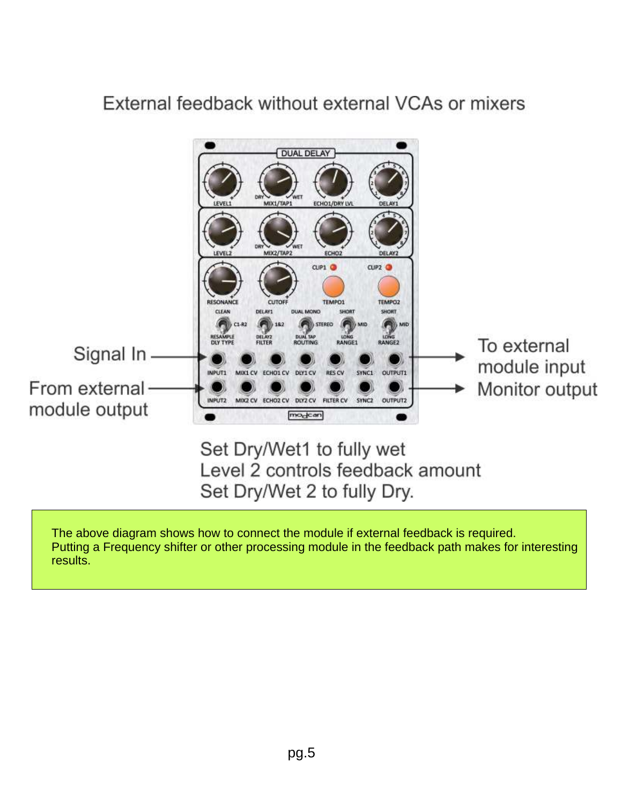## External feedback without external VCAs or mixers

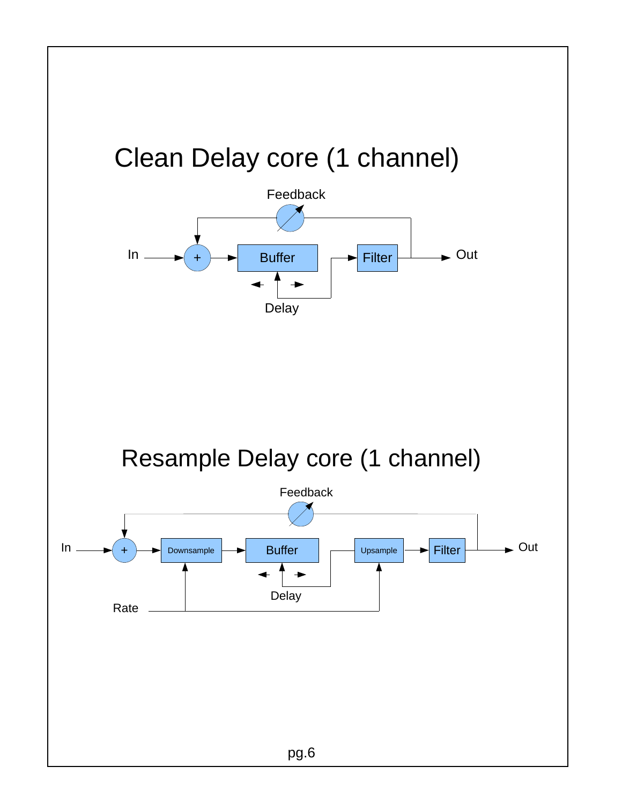